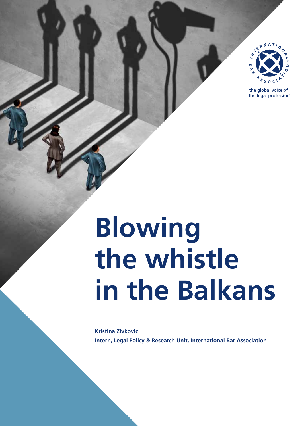

the global voice of the legal profession®

# **Blowing the whistle in the Balkans**

**Kristina Zivkovic Intern, Legal Policy & Research Unit, International Bar Association**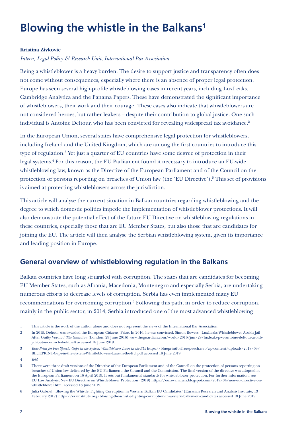# **Blowing the whistle in the Balkans1**

#### **Kristina Zivkovic**

#### *Intern, Legal Policy & Research Unit, International Bar Association*

Being a whistleblower is a heavy burden. The desire to support justice and transparency often does not come without consequences, especially where there is an absence of proper legal protection. Europe has seen several high-profile whistleblowing cases in recent years, including LuxLeaks, Cambridge Analytica and the Panama Papers. These have demonstrated the significant importance of whistleblowers, their work and their courage. These cases also indicate that whistleblowers are not considered heroes, but rather leakers – despite their contribution to global justice. One such individual is Antoine Deltour, who has been convicted for revealing widespread tax avoidance.<sup>2</sup>

In the European Union, several states have comprehensive legal protection for whistleblowers, including Ireland and the United Kingdom, which are among the first countries to introduce this type of regulation.<sup>3</sup> Yet just a quarter of EU countries have some degree of protection in their legal systems.4 For this reason, the EU Parliament found it necessary to introduce an EU-wide whistleblowing law, known as the Directive of the European Parliament and of the Council on the protection of persons reporting on breaches of Union law (the 'EU Directive').<sup>5</sup> This set of provisions is aimed at protecting whistleblowers across the jurisdiction.

This article will analyse the current situation in Balkan countries regarding whistleblowing and the degree to which domestic politics impede the implementation of whistleblower protections. It will also demonstrate the potential effect of the future EU Directive on whistleblowing regulations in these countries, especially those that are EU Member States, but also those that are candidates for joining the EU. The article will then analyse the Serbian whistleblowing system, given its importance and leading position in Europe.

## **General overview of whistleblowing regulation in the Balkans**

Balkan countries have long struggled with corruption. The states that are candidates for becoming EU Member States, such as Albania, Macedonia, Montenegro and especially Serbia, are undertaking numerous efforts to decrease levels of corruption. Serbia has even implemented many EU recommendations for overcoming corruption.<sup>6</sup> Following this path, in order to reduce corruption, mainly in the public sector, in 2014, Serbia introduced one of the most advanced whistleblowing

<sup>1</sup> This article is the work of the author alone and does not represent the views of the International Bar Association.

<sup>2</sup> In 2015, Deltour was awarded the European Citizens' Prize. In 2016, he was convicted. Simon Bowers, 'LuxLeaks Whistleblower Avoids Jail After Guilty Verdict' *The Guardian* (London, 29 June 2016) www.theguardian.com/world/2016/jun/29/luxleaks-pwc-antoine-deltour-avoidsjail-but-is-convicted-of-theft accessed 18 June 2019.

<sup>3</sup> *Blue Print for Free Speech: Gaps in the System: Whistleblower Laws in the EU*: https://blueprintforfreespeech.net/wp-content/uploads/2018/03/ BLUEPRINT-Gaps-in-the-System-Whistleblowers-Laws-in-the-EU.pdf accessed 18 June 2019.

<sup>4</sup> *Ibid*.

<sup>5</sup> There were three draft versions of the Directive of the European Parliament and of the Council on the protection of persons reporting on breaches of Union law delivered by the EU Parliament, the Council and the Commission. The final version of the directive was adopted in the European Parliament on 16 April 2019. It sets out fundamental standards for whistleblower protection. For further information, see EU Law Analysis, New EU Directive on Whistleblower Protection (2019) https://eulawanalysis.blogspot.com/2019/04/new-eu-directive-onwhistleblower.html accessed 18 June 2019.

<sup>6</sup> Julia Gabriel, 'Blowing the Whistle: Fighting Corruption in Western Balkan EU Candidates' (Eurasian Research and Analysis Institute, 13 February 2017) https://erainstitute.org/blowing-the-whistle-fighting-corruption-in-western-balkan-eu-candidates accessed 18 June 2019.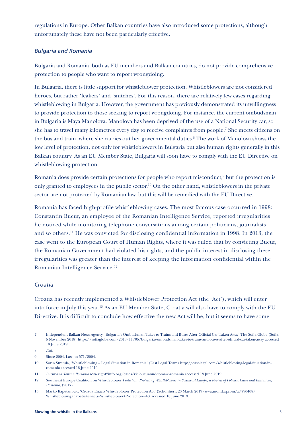regulations in Europe. Other Balkan countries have also introduced some protections, although unfortunately these have not been particularly effective.

#### *Bulgaria and Romania*

Bulgaria and Romania, both as EU members and Balkan countries, do not provide comprehensive protection to people who want to report wrongdoing.

In Bulgaria, there is little support for whistleblower protection. Whistleblowers are not considered heroes, but rather 'leakers' and 'snitches'. For this reason, there are relatively few cases regarding whistleblowing in Bulgaria. However, the government has previously demonstrated its unwillingness to provide protection to those seeking to report wrongdoing. For instance, the current ombudsman in Bulgaria is Maya Manolova. Manolova has been deprived of the use of a National Security car, so she has to travel many kilometres every day to receive complaints from people.7 She meets citizens on the bus and train, where she carries out her governmental duties.<sup>8</sup> The work of Manolova shows the low level of protection, not only for whistleblowers in Bulgaria but also human rights generally in this Balkan country. As an EU Member State, Bulgaria will soon have to comply with the EU Directive on whistleblowing protection.

Romania does provide certain protections for people who report misconduct,<sup>9</sup> but the protection is only granted to employees in the public sector.10 On the other hand, whistleblowers in the private sector are not protected by Romanian law, but this will be remedied with the EU Directive.

Romania has faced high-profile whistleblowing cases. The most famous case occurred in 1998: Constantin Bucur, an employee of the Romanian Intelligence Service, reported irregularities he noticed while monitoring telephone conversations among certain politicians, journalists and so others.11 He was convicted for disclosing confidential information in 1998. In 2013, the case went to the European Court of Human Rights, where it was ruled that by convicting Bucur, the Romanian Government had violated his rights, and the public interest in disclosing these irregularities was greater than the interest of keeping the information confidential within the Romanian Intelligence Service.12

#### *Croatia*

Croatia has recently implemented a Whistleblower Protection Act (the 'Act'), which will enter into force in July this year.13 As an EU Member State, Croatia will also have to comply with the EU Directive. It is difficult to conclude how effective the new Act will be, but it seems to have some

8 *Ibid*.

<sup>7</sup> Independent Balkan News Agency, 'Bulgaria's Ombudsman Takes to Trains and Buses After Official Car Taken Away' The Sofia Globe (Sofia, 5 November 2018) https://sofiaglobe.com/2018/11/05/bulgarias-ombudsman-takes-to-trains-and-buses-after-official-car-taken-away accessed 18 June 2019.

<sup>9</sup> Since 2004, Law no 571/2004.

<sup>10</sup> Sorin Stratula, 'Whistleblowing – Legal Situation in Romania' (East Legal Team) http://east-legal.com/whistleblowing-legal-situation-inromania accessed 18 June 2019.

<sup>11</sup> *Bucur and Toma v Romania* www.right2info.org/cases/r2i-bucur-and-toma-v.-romania accessed 18 June 2019.

<sup>12</sup> Southeast Europe Coalition on Whistleblower *Protection, Protecting Whistleblowers in Southeast Europe, a Review of Policies, Cases and Initiatives, Romania*, (2017).

<sup>13</sup> Marko Kapetanovic, 'Croatia Enacts Whistleblower Protection Act' (Schonherr, 20 March 2019) www.mondaq.com/x/790408/ Whistleblowing/Croatia+enacts+Whistleblower+Protection+Act accessed 18 June 2019.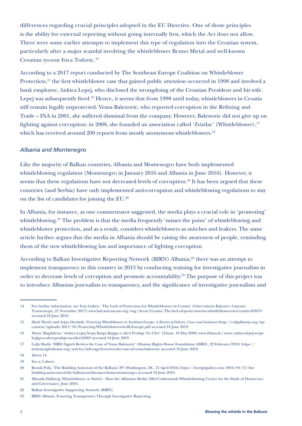differences regarding crucial principles adopted in the EU Directive. One of those principles is the ability for external reporting without going internally first, which the Act does not allow. There were some earlier attempts to implement this type of regulation into the Croatian system, particularly after a major scandal involving the whistleblower Bruno Mirtal and well-known Croatian tycoon Ivica Todoric.14

According to a 2017 report conducted by The Southeast Europe Coalition on Whistleblower Protection,<sup>15</sup> the first whistleblower case that gained public attention occurred in 1998 and involved a bank employee, Ankica Lepej, who disclosed the wrongdoing of the Croatian President and his wife. Lepej was subsequently fired.<sup>16</sup> Hence, it seems that from 1998 until today, whistleblowers in Croatia still remain legally unprotected. Vesna Balenovic, who reported corruption in the Refining and Trade – INA in 2001, she suffered dismissal from the company. However, Balenovic did not give up on fighting against corruption: in 2008, she founded an association called 'Zvizdac' (Whistleblower),<sup>17</sup> which has received around 200 reports from mostly anonymous whistleblowers.<sup>18</sup>

#### *Albania and Montenegro*

Like the majority of Balkan countries, Albania and Montenegro have both implemented whistleblowing regulation (Montenegro in January 2016 and Albania in June 2016). However, it seems that these regulations have not decreased levels of corruption.<sup>19</sup> It has been argued that these countries (and Serbia) have only implemented anti-corruption and whistleblowing regulations to stay on the list of candidates for joining the EU.20

In Albania, for instance, as one commentator suggested, the media plays a crucial role in 'promoting' whistleblowing.<sup>21</sup> The problem is that the media frequently 'misses the point' of whistleblowing and whistleblower protection, and as a result, considers whistleblowers as snitches and leakers. The same article further argues that the media in Albania should be raising the awareness of people, reminding them of the new whistleblowing law and importance of fighting corruption.

According to Balkan Investigative Reporting Network (BIRN) Albania,<sup>22</sup> there was an attempt to implement transparency in this country in 2015 by conducting training for investigative journalists in order to decrease levels of corruption and promote accountability.<sup>23</sup> The purpose of this project was to introduce Albanian journalists to transparency, and the significance of investigative journalism and

<sup>14</sup> For further information, see Toni Gabric, 'The Lack of Protection for Whistleblowers in Croatia' (Osservatorio Balcani e Caucaso Transeuropa, 21 November 2017) www.balcanicaucaso.org/eng/Areas/Croatia/The-lack-of-protection-for-whistleblowers-in-Croatia-183674 accessed 18 June 2019.

<sup>15</sup> Mark Worth and Arjan Dyrmish, *Protecting Whistleblowers in Southeast Europe: A Review of Policies, Cases and Initiatives* http://csdgalbania.org/wpcontent/uploads/2017/10/Protecting-Whistleblowers-in-SE-Europe.pdf accessed 18 June 2019.

<sup>16</sup> Mucic Magdalena, 'Ankica Lepej Svoju Knigu Knjigu o Aferi Prodaje Na Ulici' (24sata, 18 May 2008) www.24sata.hr/news/ankica-lepej-svojuknjigu-o-aferi-prodaje-na-ulici-63005 accessed 18 June 2019.

<sup>17</sup> Lejla Mazlic 'HRH Zagreb Revives the Case of Vesna Balenovic' (Human Rights House Foundation (HRH), 22 February 2010) https:// humanrightshouse.org/articles/hrh-zagreb-revives-the-case-of-vesna-balenovic accessed 18 June 2019.

<sup>18</sup> *Ibid* at 14.

<sup>19</sup> See n 5 above.

<sup>20</sup> Besnik Pula, 'The Budding Autocrats of the Balkans' FP (Washington, DC, 15 April 2016) https://foreignpolicy.com/2016/04/15/thebudding-autocrats-of-the-balkans-serbia-macedonia-montenegro accessed 18 June 2019.

<sup>21</sup> Mirsada Hallunaj, Whistleblower or Snitch – How the Albanian Media (Mis)Understands Whistleblowing Center for the Study of Democracy and Governance, June 2018.

<sup>22</sup> Balkan Investigative Supporting Network (BIRN).

<sup>23</sup> BIRN Albania, Fostering Transparency Through Investigative Reporting.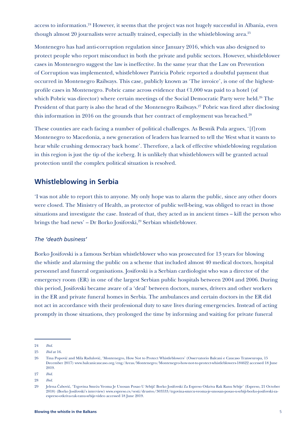access to information.<sup>24</sup> However, it seems that the project was not hugely successful in Albania, even though almost 20 journalists were actually trained, especially in the whistleblowing area.<sup>25</sup>

Montenegro has had anti-corruption regulation since January 2016, which was also designed to protect people who report misconduct in both the private and public sectors. However, whistleblower cases in Montenegro suggest the law is ineffective. In the same year that the Law on Prevention of Corruption was implemented, whistleblower Patricia Pobric reported a doubtful payment that occurred in Montenegro Railways. This case, publicly known as 'The invoice', is one of the highestprofile cases in Montenegro. Pobric came across evidence that €1,000 was paid to a hotel (of which Pobric was director) where certain meetings of the Social Democratic Party were held.<sup>26</sup> The President of that party is also the head of the Montenegro Railways.<sup>27</sup> Pobric was fired after disclosing this information in 2016 on the grounds that her contract of employment was breached.<sup>28</sup>

These counties are each facing a number of political challenges. As Besnik Pula argues, '[f]rom Montenegro to Macedonia, a new generation of leaders has learned to tell the West what it wants to hear while crushing democracy back home'. Therefore, a lack of effective whistleblowing regulation in this region is just the tip of the iceberg. It is unlikely that whistleblowers will be granted actual protection until the complex political situation is resolved.

### **Whistleblowing in Serbia**

'I was not able to report this to anyone. My only hope was to alarm the public, since any other doors were closed. The Ministry of Health, as protector of public well-being, was obliged to react in those situations and investigate the case. Instead of that, they acted as in ancient times – kill the person who brings the bad news' – Dr Borko Josifovski,<sup>29</sup> Serbian whistleblower.

#### *The 'death business'*

Borko Josifovski is a famous Serbian whistleblower who was prosecuted for 13 years for blowing the whistle and alarming the public on a scheme that included almost 40 medical doctors, hospital personnel and funeral organisations. Josifovski is a Serbian cardiologist who was a director of the emergency room (ER) in one of the largest Serbian public hospitals between 2004 and 2006. During this period, Josifovski became aware of a 'deal' between doctors, nurses, drivers and other workers in the ER and private funeral homes in Serbia. The ambulances and certain doctors in the ER did not act in accordance with their professional duty to save lives during emergencies. Instead of acting promptly in those situations, they prolonged the time by informing and waiting for private funeral

<sup>24</sup> *Ibid*.

<sup>25</sup> *Ibid* at 16.

<sup>26</sup> Tina Popović and Mila Radulović, 'Montenegro, How Not to Protect Whistleblowers' (Osservatorio Balcani e Caucaso Transeuropa, 15 December 2017) www.balcanicaucaso.org/eng/Areas/Montenegro/Montenegro-how-not-to-protect-whistleblowers-184622 accessed 18 June 2019.

<sup>27</sup> *Ibid*.

<sup>28</sup> *Ibid*.

<sup>29</sup> Jelena Čabović, 'Trgovina Smrću Veoma Je Unosan Posao U Srbiji! Borko Josifovski Za Espreso Otkriva Rak Ranu Srbije' (Espreso, 21 October 2018) (Borko Josifovski's interview) www.espreso.rs/vesti/drustvo/303533/trgovina-smrcu-veoma-je-unosan-posao-u-srbiji-borko-josifovski-zaespreso-otkriva-rak-ranu-srbije-video accessed 18 June 2019.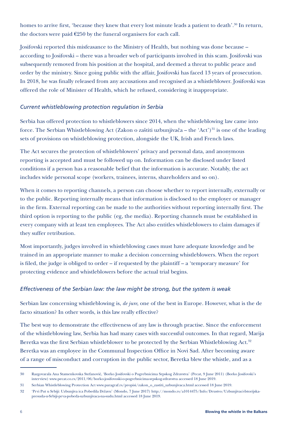homes to arrive first, 'because they knew that every lost minute leads a patient to death'.<sup>30</sup> In return, the doctors were paid  $\epsilon$ 250 by the funeral organisers for each call.

Josifovski reported this misfeasance to the Ministry of Health, but nothing was done because – according to Josifovski – there was a broader web of participants involved in this scam. Josifovski was subsequently removed from his position at the hospital, and deemed a threat to public peace and order by the ministry. Since going public with the affair, Josifovski has faced 13 years of prosecution. In 2018, he was finally released from any accusations and recognised as a whistleblower. Josifovski was offered the role of Minister of Health, which he refused, considering it inappropriate.

#### *Current whistleblowing protection regulation in Serbia*

Serbia has offered protection to whistleblowers since 2014, when the whistleblowing law came into force. The Serbian Whistleblowing Act (Zakon o zaštiti uzbunjivača – the 'Act')<sup>31</sup> is one of the leading sets of provisions on whistleblowing protection, alongside the UK, Irish and French laws.

The Act secures the protection of whistleblowers' privacy and personal data, and anonymous reporting is accepted and must be followed up on. Information can be disclosed under listed conditions if a person has a reasonable belief that the information is accurate. Notably, the act includes wide personal scope (workers, trainees, interns, shareholders and so on).

When it comes to reporting channels, a person can choose whether to report internally, externally or to the public. Reporting internally means that information is disclosed to the employer or manager in the firm. External reporting can be made to the authorities without reporting internally first. The third option is reporting to the public (eg, the media). Reporting channels must be established in every company with at least ten employees. The Act also entitles whistleblowers to claim damages if they suffer retribution.

Most importantly, judges involved in whistleblowing cases must have adequate knowledge and be trained in an appropriate manner to make a decision concerning whistleblowers. When the report is filed, the judge is obliged to order – if requested by the plaintiff – a 'temporary measure' for protecting evidence and whistleblowers before the actual trial begins.

#### *Effectiveness of the Serbian law: the law might be strong, but the system is weak*

Serbian law concerning whistleblowing is, *de jure*, one of the best in Europe. However, what is the de facto situation? In other words, is this law really effective?

The best way to demonstrate the effectiveness of any law is through practise. Since the enforcement of the whistleblowing law, Serbia has had many cases with successful outcomes. In that regard, Marija Beretka was the first Serbian whistleblower to be protected by the Serbian Whistleblowing Act.<sup>32</sup> Beretka was an employee in the Communal Inspection Office in Novi Sad. After becoming aware of a range of misconduct and corruption in the public sector, Beretka blew the whistle, and as a

<sup>30</sup> Razgovarala Ana Stamenkovska Stefanović, 'Borko Josifovski o Pogrebnicima Srpskog Zdravstva' (Pecat, 9 June 2011) (Borko Josifovski's interview) www.pecat.co.rs/2011/06/borko-josifovoski-o-pogrebnicima-srpskog-zdravstva accessed 18 June 2019.

<sup>31</sup> Serbian Whistleblowing Protection Act www.paragraf.rs/propisi/zakon\_o\_zastiti\_uzbunjivaca.html accessed 18 June 2019.

<sup>32 &#</sup>x27;Prvi Put u Srbiji: Uzbunjiva ica Pobedila Državu' (Mondo, 7 June 2017) http://mondo.rs/a1014475/Info/Drustvo/Uzbunjivaci-Istorijskapresuda-u-Srbiji-prva-pobeda-uzbunjivaca-na-sudu.html accessed 18 June 2019.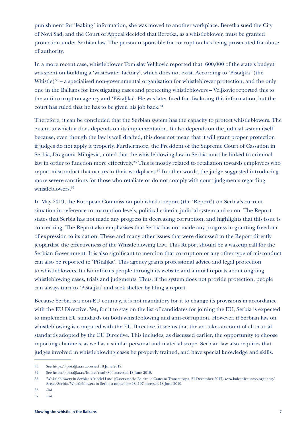punishment for 'leaking' information, she was moved to another workplace. Beretka sued the City of Novi Sad, and the Court of Appeal decided that Beretka, as a whistleblower, must be granted protection under Serbian law. The person responsible for corruption has being prosecuted for abuse of authority.

In a more recent case, whistleblower Tomislav Veljkovic reported that 600,000 of the state's budget was spent on building a 'wastewater factory', which does not exist. According to 'Pištaljka' (the Whistle)<sup>33</sup> – a specialised non-governmental organisation for whistleblower protection, and the only one in the Balkans for investigating cases and protecting whistleblowers – Veljkovic reported this to the anti-corruption agency and 'Pištaljka'. He was later fired for disclosing this information, but the court has ruled that he has to be given his job back.<sup>34</sup>

Therefore, it can be concluded that the Serbian system has the capacity to protect whistleblowers. The extent to which it does depends on its implementation. It also depends on the judicial system itself because, even though the law is well drafted, this does not mean that it will grant proper protection if judges do not apply it properly. Furthermore, the President of the Supreme Court of Cassation in Serbia, Dragomir Milojevic, noted that the whistleblowing law in Serbia must be linked to criminal law in order to function more effectively.<sup>35</sup> This is mostly related to retaliation towards employees who report misconduct that occurs in their workplaces.<sup>36</sup> In other words, the judge suggested introducing more severe sanctions for those who retaliate or do not comply with court judgments regarding whistleblowers.<sup>37</sup>

In May 2019, the European Commission published a report (the 'Report') on Serbia's current situation in reference to corruption levels, political criteria, judicial system and so on. The Report states that Serbia has not made any progress in decreasing corruption, and highlights that this issue is concerning. The Report also emphasises that Serbia has not made any progress in granting freedom of expression to its nation. These and many other issues that were discussed in the Report directly jeopardise the effectiveness of the Whistleblowing Law. This Report should be a wakeup call for the Serbian Government. It is also significant to mention that corruption or any other type of misconduct can also be reported to 'Pištaljka'. This agency grants professional advice and legal protection to whistleblowers. It also informs people through its website and annual reports about ongoing whistleblowing cases, trials and judgments. Thus, if the system does not provide protection, people can always turn to 'Pištaljka' and seek shelter by filing a report.

Because Serbia is a non-EU country, it is not mandatory for it to change its provisions in accordance with the EU Directive. Yet, for it to stay on the list of candidates for joining the EU, Serbia is expected to implement EU standards on both whistleblowing and anti-corruption. However, if Serbian law on whistleblowing is compared with the EU Directive, it seems that the act takes account of all crucial standards adopted by the EU Directive. This includes, as discussed earlier, the opportunity to choose reporting channels, as well as a similar personal and material scope. Serbian law also requires that judges involved in whistleblowing cases be properly trained, and have special knowledge and skills.

<sup>33</sup> See https://pistaljka.rs accessed 18 June 2019.

<sup>34</sup> See https://pistaljka.rs/home/read/800 accessed 18 June 2019.

<sup>35</sup> 'Whistleblowers in Serbia: A Model Law' (Osservatorio Balcani e Caucaso Transeuropa, 21 December 2017) www.balcanicaucaso.org/eng/ Areas/Serbia/Whistleblowers-in-Serbia-a-model-law-184197 accessed 18 June 2019.

<sup>36</sup> *Ibid*.

<sup>37</sup> *Ibid*.